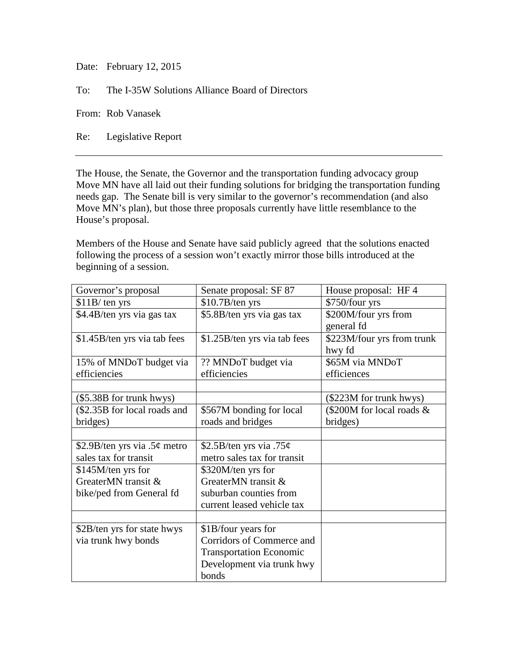Date: February 12, 2015

To: The I-35W Solutions Alliance Board of Directors

From: Rob Vanasek

Re: Legislative Report

The House, the Senate, the Governor and the transportation funding advocacy group Move MN have all laid out their funding solutions for bridging the transportation funding needs gap. The Senate bill is very similar to the governor's recommendation (and also Move MN's plan), but those three proposals currently have little resemblance to the House's proposal.

Members of the House and Senate have said publicly agreed that the solutions enacted following the process of a session won't exactly mirror those bills introduced at the beginning of a session.

| Governor's proposal          | Senate proposal: SF 87         | House proposal: HF 4       |
|------------------------------|--------------------------------|----------------------------|
| $$11B$ ten yrs               | \$10.7B/ten yrs                | \$750/four yrs             |
| \$4.4B/ten yrs via gas tax   | \$5.8B/ten yrs via gas tax     | \$200M/four yrs from       |
|                              |                                | general fd                 |
| \$1.45B/ten yrs via tab fees | \$1.25B/ten yrs via tab fees   | \$223M/four yrs from trunk |
|                              |                                | hwy fd                     |
| 15% of MNDoT budget via      | ?? MNDoT budget via            | \$65M via MNDoT            |
| efficiencies                 | efficiencies                   | efficiences                |
|                              |                                |                            |
| (\$5.38B for trunk hwys)     |                                | (\$223M for trunk hwys)    |
| (\$2.35B for local roads and | \$567M bonding for local       | (\$200M for local roads &  |
| bridges)                     | roads and bridges              | bridges)                   |
|                              |                                |                            |
| \$2.9B/ten yrs via .5¢ metro | \$2.5B/ten yrs via .75 $\phi$  |                            |
| sales tax for transit        | metro sales tax for transit    |                            |
| \$145M/ten yrs for           | \$320M/ten yrs for             |                            |
| GreaterMN transit &          | GreaterMN transit &            |                            |
| bike/ped from General fd     | suburban counties from         |                            |
|                              | current leased vehicle tax     |                            |
|                              |                                |                            |
| \$2B/ten yrs for state hwys  | \$1B/four years for            |                            |
| via trunk hwy bonds          | Corridors of Commerce and      |                            |
|                              | <b>Transportation Economic</b> |                            |
|                              | Development via trunk hwy      |                            |
|                              | bonds                          |                            |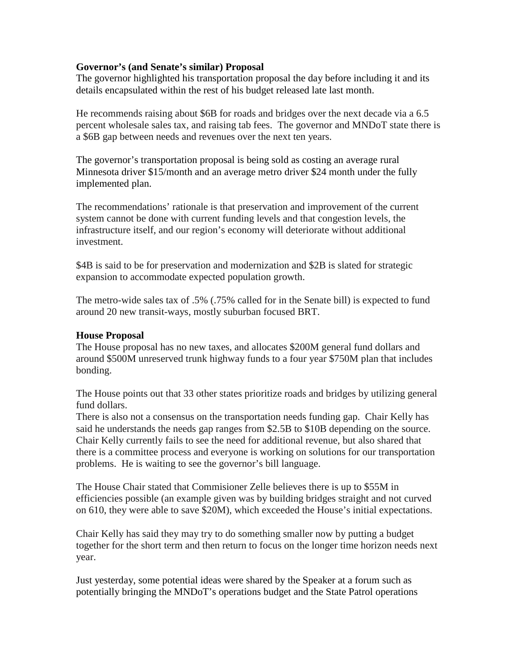### **Governor's (and Senate's similar) Proposal**

The governor highlighted his transportation proposal the day before including it and its details encapsulated within the rest of his budget released late last month.

He recommends raising about \$6B for roads and bridges over the next decade via a 6.5 percent wholesale sales tax, and raising tab fees. The governor and MNDoT state there is a \$6B gap between needs and revenues over the next ten years.

The governor's transportation proposal is being sold as costing an average rural Minnesota driver \$15/month and an average metro driver \$24 month under the fully implemented plan.

The recommendations' rationale is that preservation and improvement of the current system cannot be done with current funding levels and that congestion levels, the infrastructure itself, and our region's economy will deteriorate without additional investment.

\$4B is said to be for preservation and modernization and \$2B is slated for strategic expansion to accommodate expected population growth.

The metro-wide sales tax of .5% (.75% called for in the Senate bill) is expected to fund around 20 new transit-ways, mostly suburban focused BRT.

### **House Proposal**

The House proposal has no new taxes, and allocates \$200M general fund dollars and around \$500M unreserved trunk highway funds to a four year \$750M plan that includes bonding.

The House points out that 33 other states prioritize roads and bridges by utilizing general fund dollars.

There is also not a consensus on the transportation needs funding gap. Chair Kelly has said he understands the needs gap ranges from \$2.5B to \$10B depending on the source. Chair Kelly currently fails to see the need for additional revenue, but also shared that there is a committee process and everyone is working on solutions for our transportation problems. He is waiting to see the governor's bill language.

The House Chair stated that Commisioner Zelle believes there is up to \$55M in efficiencies possible (an example given was by building bridges straight and not curved on 610, they were able to save \$20M), which exceeded the House's initial expectations.

Chair Kelly has said they may try to do something smaller now by putting a budget together for the short term and then return to focus on the longer time horizon needs next year.

Just yesterday, some potential ideas were shared by the Speaker at a forum such as potentially bringing the MNDoT's operations budget and the State Patrol operations